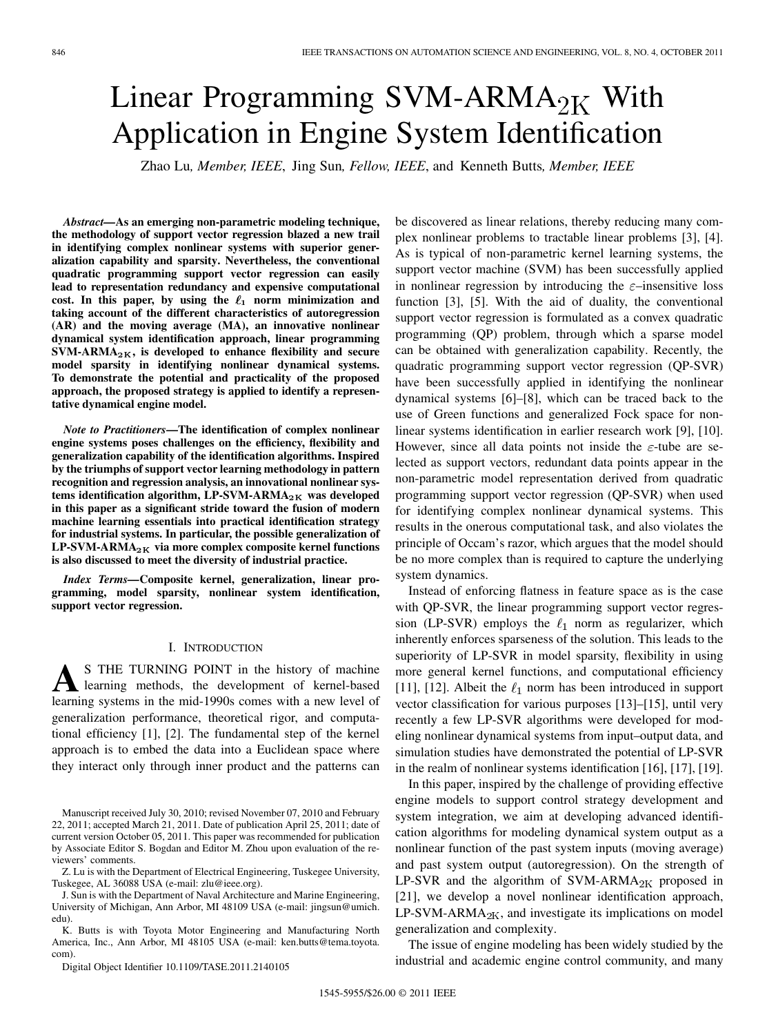# Linear Programming SVM-ARMA $_{2\mathrm{K}}$  With Application in Engine System Identification

Zhao Lu*, Member, IEEE*, Jing Sun*, Fellow, IEEE*, and Kenneth Butts*, Member, IEEE*

*Abstract—***As an emerging non-parametric modeling technique, the methodology of support vector regression blazed a new trail in identifying complex nonlinear systems with superior generalization capability and sparsity. Nevertheless, the conventional quadratic programming support vector regression can easily lead to representation redundancy and expensive computational** cost. In this paper, by using the  $\ell_1$  norm minimization and **taking account of the different characteristics of autoregression (AR) and the moving average (MA), an innovative nonlinear dynamical system identification approach, linear programming SVM-ARMA**-**, is developed to enhance flexibility and secure model sparsity in identifying nonlinear dynamical systems. To demonstrate the potential and practicality of the proposed approach, the proposed strategy is applied to identify a representative dynamical engine model.**

*Note to Practitioners***—The identification of complex nonlinear engine systems poses challenges on the efficiency, flexibility and generalization capability of the identification algorithms. Inspired by the triumphs of support vector learning methodology in pattern recognition and regression analysis, an innovational nonlinear systems identification algorithm, LP-SVM-ARMA**- **was developed in this paper as a significant stride toward the fusion of modern machine learning essentials into practical identification strategy for industrial systems. In particular, the possible generalization of LP-SVM-ARMA**- **via more complex composite kernel functions is also discussed to meet the diversity of industrial practice.**

*Index Terms—***Composite kernel, generalization, linear programming, model sparsity, nonlinear system identification, support vector regression.**

## I. INTRODUCTION

S THE TURNING POINT in the history of machine learning methods, the development of kernel-based learning systems in the mid-1990s comes with a new level of generalization performance, theoretical rigor, and computational efficiency [1], [2]. The fundamental step of the kernel approach is to embed the data into a Euclidean space where they interact only through inner product and the patterns can

Digital Object Identifier 10.1109/TASE.2011.2140105

be discovered as linear relations, thereby reducing many complex nonlinear problems to tractable linear problems [3], [4]. As is typical of non-parametric kernel learning systems, the support vector machine (SVM) has been successfully applied in nonlinear regression by introducing the  $\varepsilon$ -insensitive loss function [3], [5]. With the aid of duality, the conventional support vector regression is formulated as a convex quadratic programming (QP) problem, through which a sparse model can be obtained with generalization capability. Recently, the quadratic programming support vector regression (QP-SVR) have been successfully applied in identifying the nonlinear dynamical systems [6]–[8], which can be traced back to the use of Green functions and generalized Fock space for nonlinear systems identification in earlier research work [9], [10]. However, since all data points not inside the  $\varepsilon$ -tube are selected as support vectors, redundant data points appear in the non-parametric model representation derived from quadratic programming support vector regression (QP-SVR) when used for identifying complex nonlinear dynamical systems. This results in the onerous computational task, and also violates the principle of Occam's razor, which argues that the model should be no more complex than is required to capture the underlying system dynamics.

Instead of enforcing flatness in feature space as is the case with QP-SVR, the linear programming support vector regression (LP-SVR) employs the  $\ell_1$  norm as regularizer, which inherently enforces sparseness of the solution. This leads to the superiority of LP-SVR in model sparsity, flexibility in using more general kernel functions, and computational efficiency [11], [12]. Albeit the  $\ell_1$  norm has been introduced in support vector classification for various purposes [13]–[15], until very recently a few LP-SVR algorithms were developed for modeling nonlinear dynamical systems from input–output data, and simulation studies have demonstrated the potential of LP-SVR in the realm of nonlinear systems identification [16], [17], [19].

In this paper, inspired by the challenge of providing effective engine models to support control strategy development and system integration, we aim at developing advanced identification algorithms for modeling dynamical system output as a nonlinear function of the past system inputs (moving average) and past system output (autoregression). On the strength of LP-SVR and the algorithm of SVM-ARMA $_{2K}$  proposed in [21], we develop a novel nonlinear identification approach,  $LP-SVM-ARMA<sub>2K</sub>$ , and investigate its implications on model generalization and complexity.

The issue of engine modeling has been widely studied by the industrial and academic engine control community, and many

Manuscript received July 30, 2010; revised November 07, 2010 and February 22, 2011; accepted March 21, 2011. Date of publication April 25, 2011; date of current version October 05, 2011. This paper was recommended for publication by Associate Editor S. Bogdan and Editor M. Zhou upon evaluation of the reviewers' comments.

Z. Lu is with the Department of Electrical Engineering, Tuskegee University, Tuskegee, AL 36088 USA (e-mail: zlu@ieee.org).

J. Sun is with the Department of Naval Architecture and Marine Engineering, University of Michigan, Ann Arbor, MI 48109 USA (e-mail: jingsun@umich. edu).

K. Butts is with Toyota Motor Engineering and Manufacturing North America, Inc., Ann Arbor, MI 48105 USA (e-mail: ken.butts@tema.toyota. com).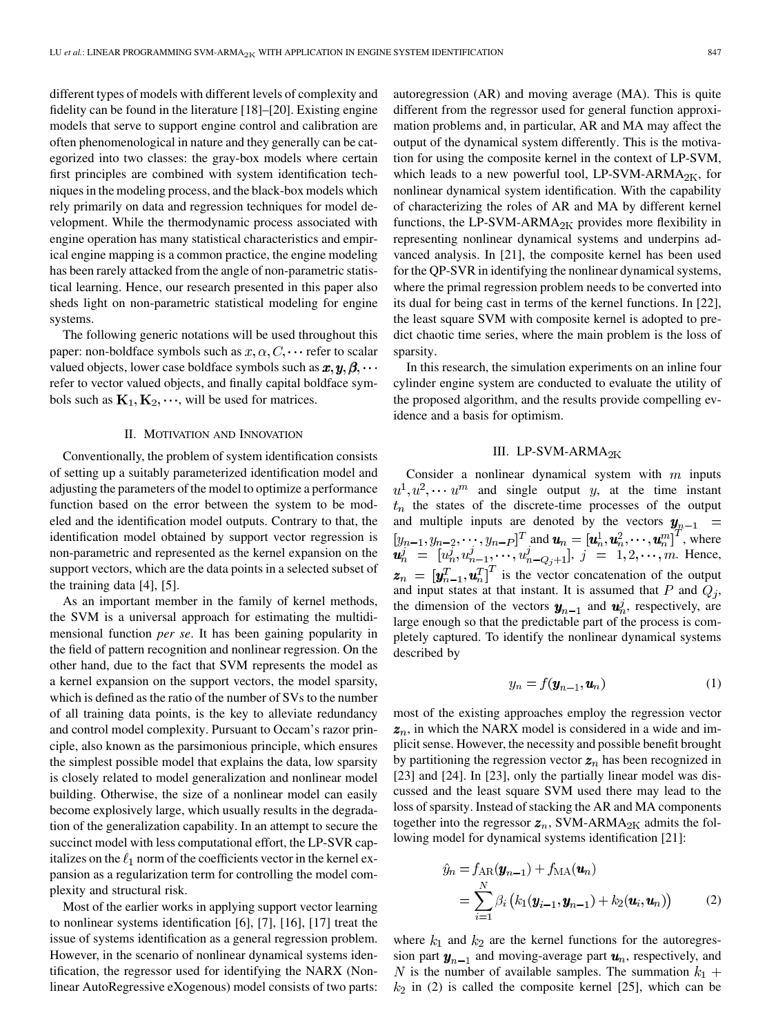different types of models with different levels of complexity and fidelity can be found in the literature [18]–[20]. Existing engine models that serve to support engine control and calibration are often phenomenological in nature and they generally can be categorized into two classes: the gray-box models where certain first principles are combined with system identification techniques in the modeling process, and the black-box models which rely primarily on data and regression techniques for model development. While the thermodynamic process associated with engine operation has many statistical characteristics and empirical engine mapping is a common practice, the engine modeling has been rarely attacked from the angle of non-parametric statistical learning. Hence, our research presented in this paper also sheds light on non-parametric statistical modeling for engine systems.

The following generic notations will be used throughout this paper: non-boldface symbols such as  $x, \alpha, C, \cdots$  refer to scalar valued objects, lower case boldface symbols such as  $x, y, \beta, \cdots$ refer to vector valued objects, and finally capital boldface symbols such as  $K_1, K_2, \dots$ , will be used for matrices.

### II. MOTIVATION AND INNOVATION

Conventionally, the problem of system identification consists of setting up a suitably parameterized identification model and adjusting the parameters of the model to optimize a performance function based on the error between the system to be modeled and the identification model outputs. Contrary to that, the identification model obtained by support vector regression is non-parametric and represented as the kernel expansion on the support vectors, which are the data points in a selected subset of the training data [4], [5].

As an important member in the family of kernel methods, the SVM is a universal approach for estimating the multidimensional function *per se*. It has been gaining popularity in the field of pattern recognition and nonlinear regression. On the other hand, due to the fact that SVM represents the model as a kernel expansion on the support vectors, the model sparsity, which is defined as the ratio of the number of SVs to the number of all training data points, is the key to alleviate redundancy and control model complexity. Pursuant to Occam's razor principle, also known as the parsimonious principle, which ensures the simplest possible model that explains the data, low sparsity is closely related to model generalization and nonlinear model building. Otherwise, the size of a nonlinear model can easily become explosively large, which usually results in the degradation of the generalization capability. In an attempt to secure the succinct model with less computational effort, the LP-SVR capitalizes on the  $\ell_1$  norm of the coefficients vector in the kernel expansion as a regularization term for controlling the model complexity and structural risk.

Most of the earlier works in applying support vector learning to nonlinear systems identification [6], [7], [16], [17] treat the issue of systems identification as a general regression problem. However, in the scenario of nonlinear dynamical systems identification, the regressor used for identifying the NARX (Nonlinear AutoRegressive eXogenous) model consists of two parts: autoregression (AR) and moving average (MA). This is quite different from the regressor used for general function approximation problems and, in particular, AR and MA may affect the output of the dynamical system differently. This is the motivation for using the composite kernel in the context of LP-SVM, which leads to a new powerful tool, LP-SVM-ARMA $_{2K}$ , for nonlinear dynamical system identification. With the capability of characterizing the roles of AR and MA by different kernel functions, the LP-SVM-ARMA $_{2K}$  provides more flexibility in representing nonlinear dynamical systems and underpins advanced analysis. In [21], the composite kernel has been used for the QP-SVR in identifying the nonlinear dynamical systems, where the primal regression problem needs to be converted into its dual for being cast in terms of the kernel functions. In [22], the least square SVM with composite kernel is adopted to predict chaotic time series, where the main problem is the loss of sparsity.

In this research, the simulation experiments on an inline four cylinder engine system are conducted to evaluate the utility of the proposed algorithm, and the results provide compelling evidence and a basis for optimism.

# III. LP-SVM-ARMA

Consider a nonlinear dynamical system with  $m$  inputs  $u^1, u^2, \cdots u^m$  and single output y, at the time instant  $t_n$  the states of the discrete-time processes of the output and multiple inputs are denoted by the vectors and  $\boldsymbol{u}_n = [\boldsymbol{u}_n^1, \boldsymbol{u}_n^2, \cdots, \boldsymbol{u}_n^m]^T$  , where  $, j = 1, 2, \dots, m$ . Hence,  $\mathbf{z}_n = [\mathbf{y}_{n-1}^T, \mathbf{u}_n^T]^T$  is the vector concatenation of the output and input states at that instant. It is assumed that  $P$  and  $Q_i$ , the dimension of the vectors  $y_{n-1}$  and  $u_n^j$ , respectively, are large enough so that the predictable part of the process is completely captured. To identify the nonlinear dynamical systems described by

$$
y_n = f(\mathbf{y}_{n-1}, \mathbf{u}_n) \tag{1}
$$

most of the existing approaches employ the regression vector  $z_n$ , in which the NARX model is considered in a wide and implicit sense. However, the necessity and possible benefit brought by partitioning the regression vector  $z_n$  has been recognized in [23] and [24]. In [23], only the partially linear model was discussed and the least square SVM used there may lead to the loss of sparsity. Instead of stacking the AR and MA components together into the regressor  $z_n$ , SVM-ARMA<sub>2K</sub> admits the following model for dynamical systems identification [21]:

$$
\hat{y}_n = f_{\text{AR}}(\boldsymbol{y}_{n-1}) + f_{\text{MA}}(\boldsymbol{u}_n)
$$
\n
$$
= \sum_{i=1}^N \beta_i \left( k_1(\boldsymbol{y}_{i-1}, \boldsymbol{y}_{n-1}) + k_2(\boldsymbol{u}_i, \boldsymbol{u}_n) \right) \tag{2}
$$

where  $k_1$  and  $k_2$  are the kernel functions for the autoregression part  $y_{n-1}$  and moving-average part  $u_n$ , respectively, and N is the number of available samples. The summation  $k_1 +$  $k_2$  in (2) is called the composite kernel [25], which can be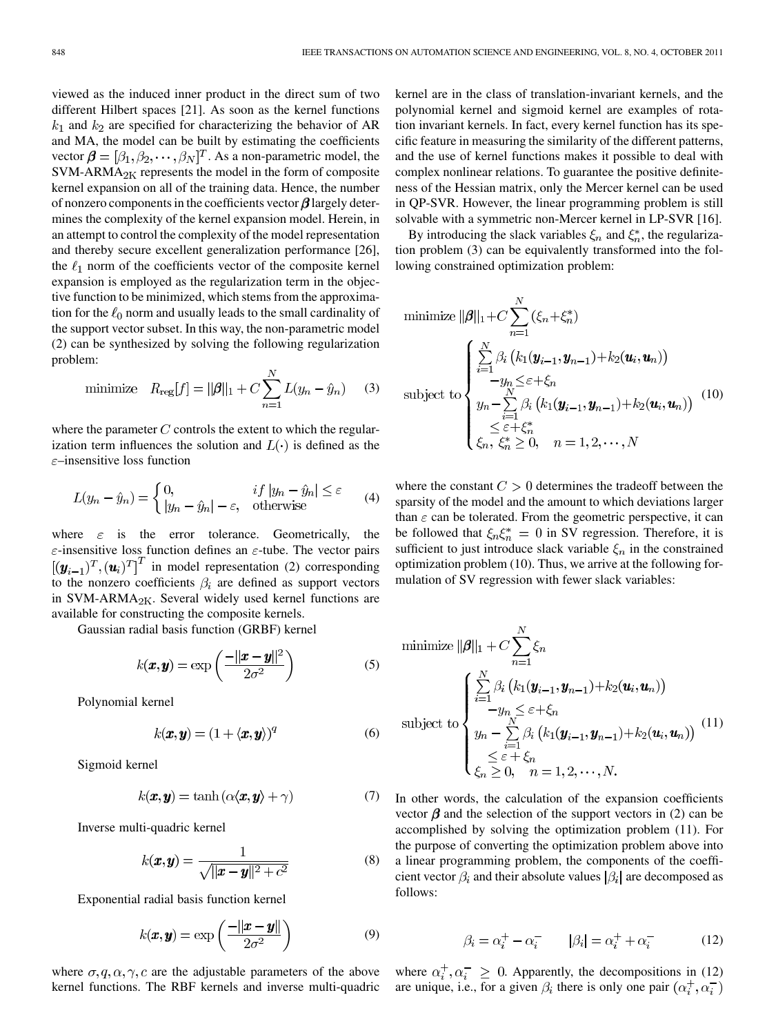viewed as the induced inner product in the direct sum of two different Hilbert spaces [21]. As soon as the kernel functions  $k_1$  and  $k_2$  are specified for characterizing the behavior of AR and MA, the model can be built by estimating the coefficients vector  $\boldsymbol{\beta} = [\beta_1, \beta_2, \cdots, \beta_N]^T$ . As a non-parametric model, the  $SVM-ARMA<sub>2K</sub>$  represents the model in the form of composite kernel expansion on all of the training data. Hence, the number of nonzero components in the coefficients vector  $\beta$  largely determines the complexity of the kernel expansion model. Herein, in an attempt to control the complexity of the model representation and thereby secure excellent generalization performance [26], the  $\ell_1$  norm of the coefficients vector of the composite kernel expansion is employed as the regularization term in the objective function to be minimized, which stems from the approximation for the  $\ell_0$  norm and usually leads to the small cardinality of the support vector subset. In this way, the non-parametric model (2) can be synthesized by solving the following regularization problem:

minimize 
$$
R_{reg}[f] = ||\boldsymbol{\beta}||_1 + C \sum_{n=1}^{N} L(y_n - \hat{y}_n)
$$
 (3)

where the parameter  $C$  controls the extent to which the regularization term influences the solution and  $L(\cdot)$  is defined as the  $\varepsilon$ –insensitive loss function

$$
L(y_n - \hat{y}_n) = \begin{cases} 0, & if |y_n - \hat{y}_n| \le \varepsilon \\ |y_n - \hat{y}_n| - \varepsilon, & \text{otherwise} \end{cases}
$$
(4)

where  $\varepsilon$  is the error tolerance. Geometrically, the  $\varepsilon$ -insensitive loss function defines an  $\varepsilon$ -tube. The vector pairs  $[(y_{i-1})^T, (u_i)^T]^T$  in model representation (2) corresponding to the nonzero coefficients  $\beta_i$  are defined as support vectors in SVM-ARM $A_{2K}$ . Several widely used kernel functions are available for constructing the composite kernels.

Gaussian radial basis function (GRBF) kernel

$$
k(\pmb{x}, \pmb{y}) = \exp\left(\frac{-\|\pmb{x} - \pmb{y}\|^2}{2\sigma^2}\right) \tag{5}
$$

Polynomial kernel

$$
k(\pmb{x}, \pmb{y}) = (1 + \langle \pmb{x}, \pmb{y} \rangle)^q \tag{6}
$$

Sigmoid kernel

$$
k(\pmb{x}, \pmb{y}) = \tanh\left(\alpha \langle \pmb{x}, \pmb{y} \rangle + \gamma\right) \tag{7}
$$

Inverse multi-quadric kernel

$$
k(\boldsymbol{x}, \boldsymbol{y}) = \frac{1}{\sqrt{||\boldsymbol{x} - \boldsymbol{y}||^2 + c^2}}
$$
(8)

Exponential radial basis function kernel

$$
k(\pmb{x}, \pmb{y}) = \exp\left(\frac{-\|\pmb{x} - \pmb{y}\|}{2\sigma^2}\right) \tag{9}
$$

where  $\sigma, q, \alpha, \gamma, c$  are the adjustable parameters of the above kernel functions. The RBF kernels and inverse multi-quadric

kernel are in the class of translation-invariant kernels, and the polynomial kernel and sigmoid kernel are examples of rotation invariant kernels. In fact, every kernel function has its specific feature in measuring the similarity of the different patterns, and the use of kernel functions makes it possible to deal with complex nonlinear relations. To guarantee the positive definiteness of the Hessian matrix, only the Mercer kernel can be used in QP-SVR. However, the linear programming problem is still solvable with a symmetric non-Mercer kernel in LP-SVR [16].

By introducing the slack variables  $\xi_n$  and  $\xi_n^*$ , the regularization problem (3) can be equivalently transformed into the following constrained optimization problem:

minimize 
$$
||\boldsymbol{\beta}||_1 + C \sum_{n=1}^N (\xi_n + \xi_n^*)
$$
  
\n
$$
\sum_{i=1}^N \beta_i (k_1(\boldsymbol{y}_{i-1}, \boldsymbol{y}_{n-1}) + k_2(\boldsymbol{u}_i, \boldsymbol{u}_n))
$$
\nsubject to\n
$$
\begin{cases}\n\sum_{i=1}^N \beta_i (k_1(\boldsymbol{y}_{i-1}, \boldsymbol{y}_{n-1}) + k_2(\boldsymbol{u}_i, \boldsymbol{u}_n)) \\
y_n - \sum_{i=1}^N \beta_i (k_1(\boldsymbol{y}_{i-1}, \boldsymbol{y}_{n-1}) + k_2(\boldsymbol{u}_i, \boldsymbol{u}_n)) \\
\leq \varepsilon + \xi_n^* \\
\xi_n, \xi_n^* \geq 0, \quad n = 1, 2, \dots, N\n\end{cases}
$$
\n(10)

where the constant  $C>0$  determines the tradeoff between the sparsity of the model and the amount to which deviations larger than  $\varepsilon$  can be tolerated. From the geometric perspective, it can be followed that  $\xi_n \xi_n^* = 0$  in SV regression. Therefore, it is sufficient to just introduce slack variable  $\xi_n$  in the constrained optimization problem (10). Thus, we arrive at the following formulation of SV regression with fewer slack variables:

minimize 
$$
\|\boldsymbol{\beta}\|_1 + C \sum_{n=1}^N \xi_n
$$
  
\n
$$
\sum_{i=1}^N \beta_i (k_1(\boldsymbol{y}_{i-1}, \boldsymbol{y}_{n-1}) + k_2(\boldsymbol{u}_i, \boldsymbol{u}_n))
$$
\nsubject to\n
$$
\begin{cases}\n\sum_{i=1}^N \beta_i (k_1(\boldsymbol{y}_{i-1}, \boldsymbol{y}_{n-1}) + k_2(\boldsymbol{u}_i, \boldsymbol{u}_n)) \\
y_n - \sum_{i=1}^N \beta_i (k_1(\boldsymbol{y}_{i-1}, \boldsymbol{y}_{n-1}) + k_2(\boldsymbol{u}_i, \boldsymbol{u}_n))\n\end{cases} (11)
$$
\n
$$
\leq \varepsilon + \xi_n
$$
\n
$$
\xi_n \geq 0, \quad n = 1, 2, \dots, N.
$$

In other words, the calculation of the expansion coefficients vector  $\beta$  and the selection of the support vectors in (2) can be accomplished by solving the optimization problem (11). For the purpose of converting the optimization problem above into a linear programming problem, the components of the coefficient vector  $\beta_i$  and their absolute values  $|\beta_i|$  are decomposed as follows:

$$
\beta_i = \alpha_i^+ - \alpha_i^- \qquad |\beta_i| = \alpha_i^+ + \alpha_i^- \tag{12}
$$

where  $\alpha_i^+, \alpha_i^- \geq 0$ . Apparently, the decompositions in (12) are unique, i.e., for a given  $\beta_i$  there is only one pair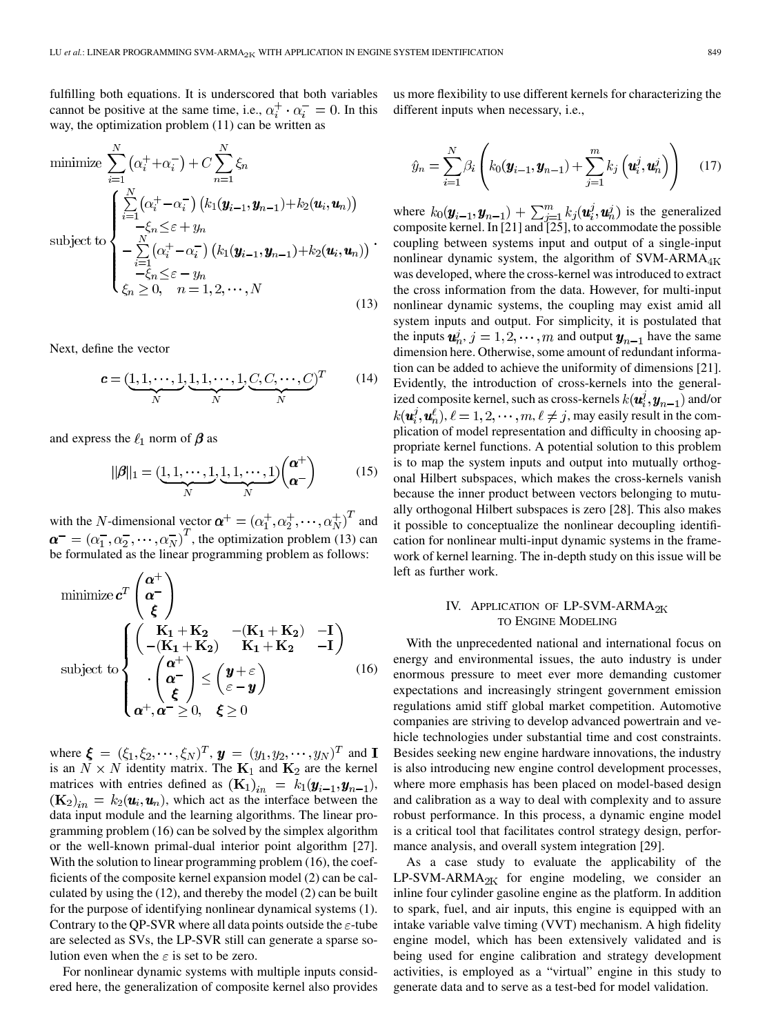fulfilling both equations. It is underscored that both variables cannot be positive at the same time, i.e.,  $\alpha_i^+ \cdot \alpha_i^- = 0$ . In this way, the optimization problem (11) can be written as

minimize 
$$
\sum_{i=1}^{N} (\alpha_i^+ + \alpha_i^-) + C \sum_{n=1}^{N} \xi_n
$$
  
\nsubject to  
\n
$$
\begin{cases}\n\sum_{i=1}^{N} (\alpha_i^+ - \alpha_i^-) (k_1(\mathbf{y}_{i-1}, \mathbf{y}_{n-1}) + k_2(\mathbf{u}_i, \mathbf{u}_n)) \\
-\xi_n \leq \varepsilon + y_n \\
-\sum_{i=1}^{N} (\alpha_i^+ - \alpha_i^-) (k_1(\mathbf{y}_{i-1}, \mathbf{y}_{n-1}) + k_2(\mathbf{u}_i, \mathbf{u}_n)) \\
-\xi_n \leq \varepsilon - y_n \\
\xi_n \geq 0, \quad n = 1, 2, \dots, N\n\end{cases}
$$
\n(13)

Next, define the vector

$$
\mathbf{c} = (\underbrace{1, 1, \cdots, 1}_{N}, \underbrace{1, 1, \cdots, 1}_{N}, \underbrace{C, C, \cdots, C}_{N})^{T}
$$
 (14)

and express the  $\ell_1$  norm of  $\beta$  as

$$
\|\boldsymbol{\beta}\|_1 = (\underbrace{1, 1, \cdots, 1}_{N}, \underbrace{1, 1, \cdots, 1}_{N}) \begin{pmatrix} \boldsymbol{\alpha}^+ \\ \boldsymbol{\alpha}^- \end{pmatrix} (15)
$$

with the N-dimensional vector  $\boldsymbol{\alpha}^+ = (\alpha_1^+, \alpha_2^+, \cdots, \alpha_N^+)^T$  and  $\boldsymbol{\alpha}^{\text{-}} = (\alpha_1^{\text{-}}, \alpha_2^{\text{-}}, \cdots, \alpha_N^{\text{-}})^T$ , the optimization problem (13) can be formulated as the linear programming problem as follows:

minimize 
$$
c^T
$$
  $\begin{pmatrix} \alpha^+ \\ \alpha^- \\ \xi \end{pmatrix}$   
\nsubject to\n
$$
\begin{cases}\n\begin{pmatrix}\nK_1 + K_2 & -(K_1 + K_2) & -I \\
-(K_1 + K_2) & K_1 + K_2 & -I\n\end{pmatrix} \\
\cdot \begin{pmatrix} \alpha^+ \\ \alpha^- \\ \xi \end{pmatrix} \leq \begin{pmatrix} y + \varepsilon \\ \varepsilon - y \end{pmatrix} \\
\alpha^+, \alpha^- \geq 0, \quad \xi \geq 0\n\end{cases}
$$
\n(16)

where  $\boldsymbol{\xi} = (\xi_1, \xi_2, \cdots, \xi_N)^T$ ,  $\boldsymbol{y} = (y_1, y_2, \cdots, y_N)^T$  and **I** is an  $N \times N$  identity matrix. The  $K_1$  and  $K_2$  are the kernel matrices with entries defined as  $(K_1)_{in} = k_1(\boldsymbol{y}_{i-1}, \boldsymbol{y}_{n-1}),$  $(\mathbf{K}_2)_{in} = k_2(\mathbf{u}_i, \mathbf{u}_n)$ , which act as the interface between the data input module and the learning algorithms. The linear programming problem (16) can be solved by the simplex algorithm or the well-known primal-dual interior point algorithm [27]. With the solution to linear programming problem (16), the coefficients of the composite kernel expansion model (2) can be calculated by using the (12), and thereby the model (2) can be built for the purpose of identifying nonlinear dynamical systems (1). Contrary to the QP-SVR where all data points outside the  $\varepsilon$ -tube are selected as SVs, the LP-SVR still can generate a sparse solution even when the  $\varepsilon$  is set to be zero.

For nonlinear dynamic systems with multiple inputs considered here, the generalization of composite kernel also provides us more flexibility to use different kernels for characterizing the different inputs when necessary, i.e.,

$$
\hat{y}_n = \sum_{i=1}^N \beta_i \left( k_0(\boldsymbol{y}_{i-1}, \boldsymbol{y}_{n-1}) + \sum_{j=1}^m k_j \left( \boldsymbol{u}_i^j, \boldsymbol{u}_n^j \right) \right) \tag{17}
$$

where  $k_0(\mathbf{y}_{i-1}, \mathbf{y}_{n-1}) + \sum_{i=1}^m k_i(\mathbf{u}_i^j, \mathbf{u}_n^j)$  is the generalized composite kernel. In [21] and [25], to accommodate the possible coupling between systems input and output of a single-input nonlinear dynamic system, the algorithm of SVM-ARMA $_{4K}$ was developed, where the cross-kernel was introduced to extract the cross information from the data. However, for multi-input nonlinear dynamic systems, the coupling may exist amid all system inputs and output. For simplicity, it is postulated that the inputs  $u_n^j$ ,  $j = 1, 2, \dots, m$  and output  $y_{n-1}$  have the same dimension here. Otherwise, some amount of redundant information can be added to achieve the uniformity of dimensions [21]. Evidently, the introduction of cross-kernels into the generalized composite kernel, such as cross-kernels  $k(\boldsymbol{u}_i^j, \boldsymbol{y}_{n-1})$  and/or  $k(\mathbf{u}_i^j, \mathbf{u}_n^{\ell}), \ell = 1, 2, \cdots, m, \ell \neq j$ , may easily result in the complication of model representation and difficulty in choosing appropriate kernel functions. A potential solution to this problem is to map the system inputs and output into mutually orthogonal Hilbert subspaces, which makes the cross-kernels vanish because the inner product between vectors belonging to mutually orthogonal Hilbert subspaces is zero [28]. This also makes it possible to conceptualize the nonlinear decoupling identification for nonlinear multi-input dynamic systems in the framework of kernel learning. The in-depth study on this issue will be left as further work.

# IV. APPLICATION OF LP-SVM-ARMA<sub>2K</sub> TO ENGINE MODELING

With the unprecedented national and international focus on energy and environmental issues, the auto industry is under enormous pressure to meet ever more demanding customer expectations and increasingly stringent government emission regulations amid stiff global market competition. Automotive companies are striving to develop advanced powertrain and vehicle technologies under substantial time and cost constraints. Besides seeking new engine hardware innovations, the industry is also introducing new engine control development processes, where more emphasis has been placed on model-based design and calibration as a way to deal with complexity and to assure robust performance. In this process, a dynamic engine model is a critical tool that facilitates control strategy design, performance analysis, and overall system integration [29].

As a case study to evaluate the applicability of the  $LP-SVM-ARMA<sub>2K</sub>$  for engine modeling, we consider an inline four cylinder gasoline engine as the platform. In addition to spark, fuel, and air inputs, this engine is equipped with an intake variable valve timing (VVT) mechanism. A high fidelity engine model, which has been extensively validated and is being used for engine calibration and strategy development activities, is employed as a "virtual" engine in this study to generate data and to serve as a test-bed for model validation.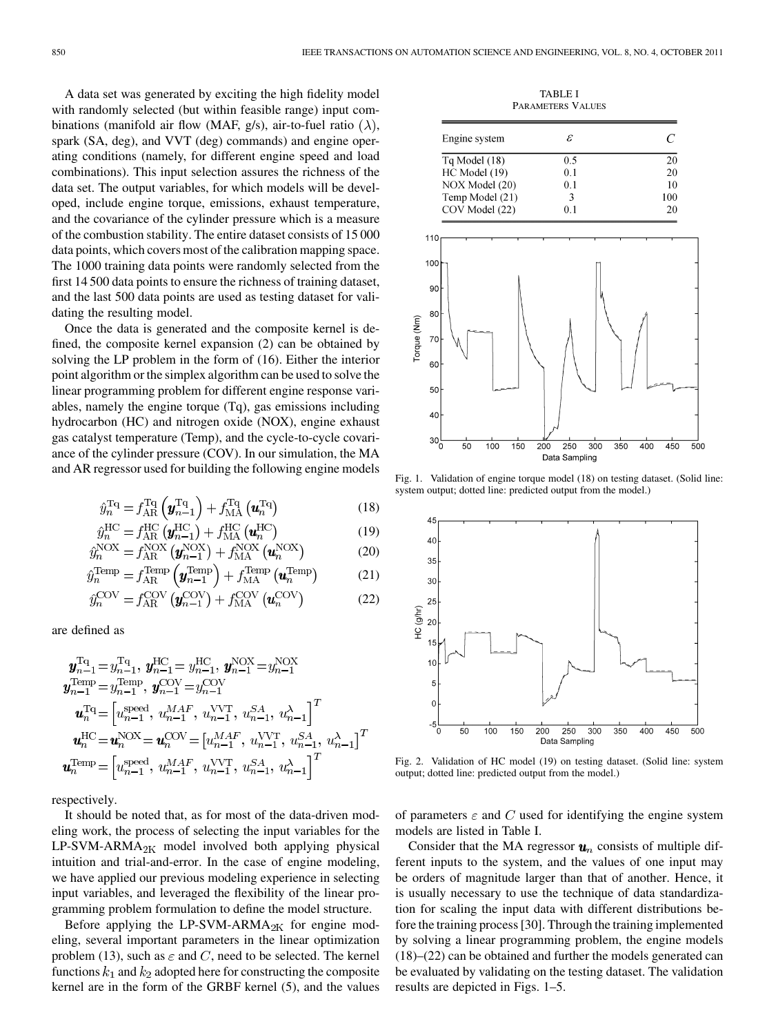A data set was generated by exciting the high fidelity model with randomly selected (but within feasible range) input combinations (manifold air flow (MAF, g/s), air-to-fuel ratio  $(\lambda)$ , spark (SA, deg), and VVT (deg) commands) and engine operating conditions (namely, for different engine speed and load combinations). This input selection assures the richness of the data set. The output variables, for which models will be developed, include engine torque, emissions, exhaust temperature, and the covariance of the cylinder pressure which is a measure of the combustion stability. The entire dataset consists of 15 000 data points, which covers most of the calibration mapping space. The 1000 training data points were randomly selected from the first 14 500 data points to ensure the richness of training dataset, and the last 500 data points are used as testing dataset for validating the resulting model.

Once the data is generated and the composite kernel is defined, the composite kernel expansion (2) can be obtained by solving the LP problem in the form of (16). Either the interior point algorithm or the simplex algorithm can be used to solve the linear programming problem for different engine response variables, namely the engine torque (Tq), gas emissions including hydrocarbon (HC) and nitrogen oxide (NOX), engine exhaust gas catalyst temperature (Temp), and the cycle-to-cycle covariance of the cylinder pressure (COV). In our simulation, the MA and AR regressor used for building the following engine models

$$
\hat{y}_n^{\text{Tq}} = f_{\text{AR}}^{\text{Tq}} \left( \boldsymbol{y}_{n-1}^{\text{Tq}} \right) + f_{\text{MA}}^{\text{Tq}} \left( \boldsymbol{u}_n^{\text{Tq}} \right) \tag{18}
$$

$$
\hat{y}_n^{\text{HC}} = f_{\text{AR}}^{\text{HC}} \left( \mathbf{y}_{n-1}^{\text{HC}} \right) + f_{\text{MA}}^{\text{HC}} \left( \mathbf{u}_n^{\text{HC}} \right) \tag{19}
$$

$$
\hat{y}_n^{\text{NOX}} = f_{\text{AR}}^{\text{NOX}} \left( \mathbf{y}_{n-1}^{\text{NOX}} \right) + f_{\text{MAX}}^{\text{NOX}} \left( \mathbf{u}_n^{\text{NOX}} \right) \tag{20}
$$
\n
$$
\hat{y}_n^{\text{temp}} = \hat{y}_n^{\text{temp}} \left( \hat{y}_n^{\text{temp}} \right) + f_{\text{MAX}}^{\text{NOX}} \left( \mathbf{u}_n^{\text{NOX}} \right) \tag{21}
$$

$$
\hat{y}_n^{\text{Temp}} = f_{\text{AR}}^{\text{Temp}} \left( \mathbf{y}_{n-1}^{\text{Temp}} \right) + f_{\text{MA}}^{\text{Temp}} \left( \mathbf{u}_n^{\text{Temp}} \right) \tag{21}
$$
\n
$$
\hat{C}_{\text{CUV}} = f_{\text{CUV}} \left( f_{\text{CUV}} \right) + f_{\text{M}} \left( f_{\text{CUV}} \right) \tag{22}
$$

$$
\hat{y}_n^{\text{COV}} = f_{\text{AR}}^{\text{COV}} \left( \mathbf{y}_{n-1}^{\text{COV}} \right) + f_{\text{MA}}^{\text{COV}} \left( \mathbf{u}_n^{\text{COV}} \right) \tag{22}
$$

are defined as

$$
\begin{aligned} \pmb{y}_{n-1}^{\text{Tq}} & = y_{n-1}^{\text{Tq}}, \; \pmb{y}_{n-1}^{\text{HC}} = y_{n-1}^{\text{HC}}, \; \pmb{y}_{n-1}^{\text{NOX}} = y_{n-1}^{\text{NOX}} \\ \pmb{y}_{n-1}^{\text{Temp}} & = y_{n-1}^{\text{Temp}}, \; \pmb{y}_{n-1}^{\text{COV}} = y_{n-1}^{\text{COV}} \\ \pmb{u}_{n}^{\text{Tq}} & = \left[ u_{n-1}^{\text{speed}}, \; u_{n-1}^{MAF}, \; u_{n-1}^{\text{VVT}}, \; u_{n-1}^{SA}, \; u_{n-1}^{\lambda} \right]^T \\ \pmb{u}_{n}^{\text{HC}} & = \pmb{u}_{n}^{\text{NOX}} = \pmb{u}_{n}^{\text{COV}} = \left[ u_{n-1}^{MAF}, \; u_{n-1}^{\text{VVT}}, \; u_{n-1}^{SA}, \; u_{n-1}^{\lambda} \right]^T \\ \pmb{u}_{n}^{\text{Temp}} & = \left[ u_{n-1}^{\text{speed}}, \; u_{n-1}^{MAF}, \; u_{n-1}^{\text{VVT}}, \; u_{n-1}^{SA}, \; u_{n-1}^{\lambda} \right]^T \end{aligned}
$$

respectively.

It should be noted that, as for most of the data-driven modeling work, the process of selecting the input variables for the  $LP-SVM-ARMA<sub>2K</sub>$  model involved both applying physical intuition and trial-and-error. In the case of engine modeling, we have applied our previous modeling experience in selecting input variables, and leveraged the flexibility of the linear programming problem formulation to define the model structure.

Before applying the LP-SVM-ARMA $_{2K}$  for engine modeling, several important parameters in the linear optimization problem (13), such as  $\varepsilon$  and C, need to be selected. The kernel functions  $k_1$  and  $k_2$  adopted here for constructing the composite kernel are in the form of the GRBF kernel (5), and the values

TABLE I PARAMETERS VALUES

| Engine system                     | £        | $\epsilon$ . |
|-----------------------------------|----------|--------------|
| Tq Model $(18)$                   | 0.5      | 20           |
| HC Model (19)                     | 0.1      | 20           |
| NOX Model (20)                    | 0.1<br>3 | 10<br>100    |
| Temp Model (21)<br>COV Model (22) | 01       | 20           |



Fig. 1. Validation of engine torque model (18) on testing dataset. (Solid line: system output; dotted line: predicted output from the model.)



Fig. 2. Validation of HC model (19) on testing dataset. (Solid line: system output; dotted line: predicted output from the model.)

of parameters  $\varepsilon$  and C used for identifying the engine system models are listed in Table I.

Consider that the MA regressor  $u_n$  consists of multiple different inputs to the system, and the values of one input may be orders of magnitude larger than that of another. Hence, it is usually necessary to use the technique of data standardization for scaling the input data with different distributions before the training process [30]. Through the training implemented by solving a linear programming problem, the engine models (18)–(22) can be obtained and further the models generated can be evaluated by validating on the testing dataset. The validation results are depicted in Figs. 1–5.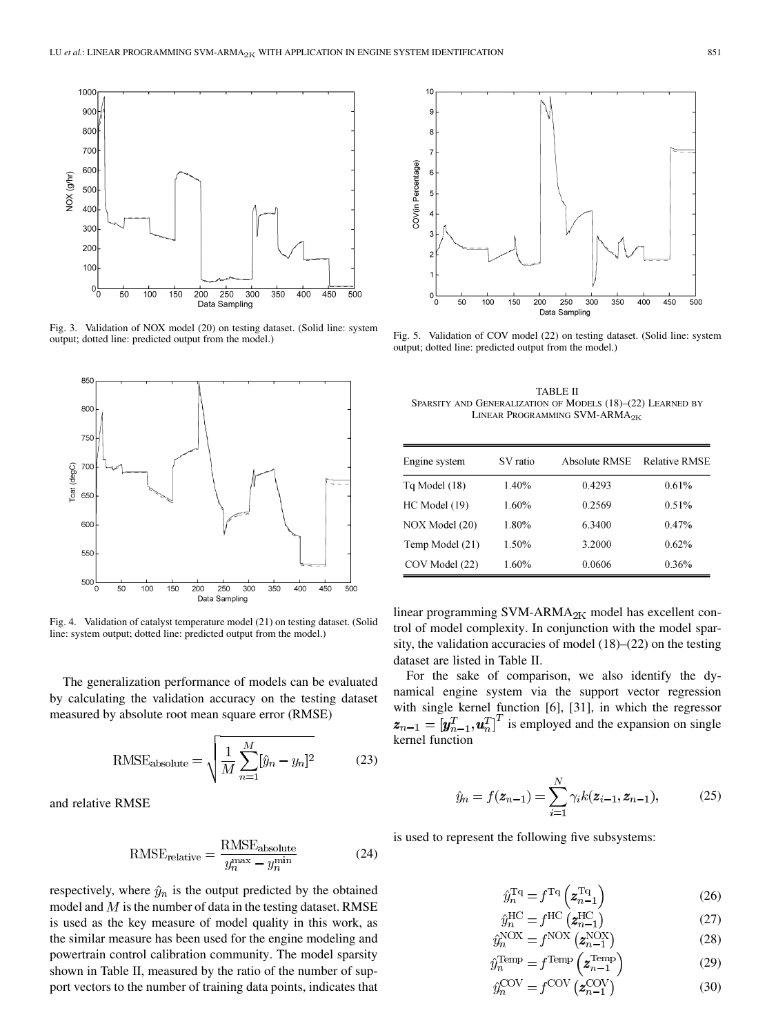

Fig. 3. Validation of NOX model (20) on testing dataset. (Solid line: system output; dotted line: predicted output from the model.)



Fig. 4. Validation of catalyst temperature model (21) on testing dataset. (Solid line: system output; dotted line: predicted output from the model.)

The generalization performance of models can be evaluated by calculating the validation accuracy on the testing dataset measured by absolute root mean square error (RMSE)

RMSE<sub>absolute</sub> = 
$$
\sqrt{\frac{1}{M} \sum_{n=1}^{M} [\hat{y}_n - y_n]^2}
$$
 (23)

and relative RMSE

RMSE<sub>relative</sub> = 
$$
\frac{\text{RMSE}_{\text{absolute}}}{y_n^{\text{max}} - y_n^{\text{min}}}
$$
(24)

respectively, where  $\hat{y}_n$  is the output predicted by the obtained model and  $M$  is the number of data in the testing dataset. RMSE is used as the key measure of model quality in this work, as the similar measure has been used for the engine modeling and powertrain control calibration community. The model sparsity shown in Table II, measured by the ratio of the number of support vectors to the number of training data points, indicates that



Fig. 5. Validation of COV model (22) on testing dataset. (Solid line: system output; dotted line: predicted output from the model.)

TABLE II SPARSITY AND GENERALIZATION OF MODELS (18)–(22) LEARNED BY LINEAR PROGRAMMING SVM-ARMA

| Engine system     | SV ratio | Absolute RMSE | <b>Relative RMSE</b> |
|-------------------|----------|---------------|----------------------|
| Tq Model (18)     | 1.40%    | 0.4293        | 0.61%                |
| $HC$ Model $(19)$ | 1.60%    | 0.2569        | 0.51%                |
| NOX Model (20)    | 1.80%    | 6.3400        | 0.47%                |
| Temp Model (21)   | 1.50%    | 3.2000        | $0.62\%$             |
| COV Model (22)    | 1.60%    | 0.0606        | $0.36\%$             |

linear programming SVM-ARM $A_{2K}$  model has excellent control of model complexity. In conjunction with the model sparsity, the validation accuracies of model (18)–(22) on the testing dataset are listed in Table II.

For the sake of comparison, we also identify the dynamical engine system via the support vector regression with single kernel function [6], [31], in which the regressor  $\mathbf{z}_{n-1} = \left[\mathbf{y}_{n-1}^T, \mathbf{u}_n^T\right]^T$  is employed and the expansion on single kernel function

$$
\hat{y}_n = f(\mathbf{z}_{n-1}) = \sum_{i=1}^N \gamma_i k(\mathbf{z}_{i-1}, \mathbf{z}_{n-1}),
$$
 (25)

is used to represent the following five subsystems:

$$
\hat{y}_n^{\text{Tq}} = f^{\text{Tq}} \left( \mathbf{z}_{n-1}^{\text{Tq}} \right) \tag{26}
$$

$$
\hat{y}_n^{\text{HC}} = f^{\text{HC}}\left(\mathbf{z}_{n-1}^{\text{HC}}\right) \tag{27}
$$

$$
\hat{y}_n^{\text{NOX}} = f^{\text{NOX}}\left(\mathbf{z}_{n-1}^{\text{NOX}}\right) \tag{28}
$$

$$
\hat{y}_n^{\text{Temp}} = f^{\text{Temp}} \left( \mathbf{z}_{n-1}^{\text{Temp}} \right) \tag{29}
$$

$$
\hat{y}_n^{\text{COV}} = f^{\text{COV}} \left( \mathbf{z}_{n-1}^{\text{COV}} \right) \tag{30}
$$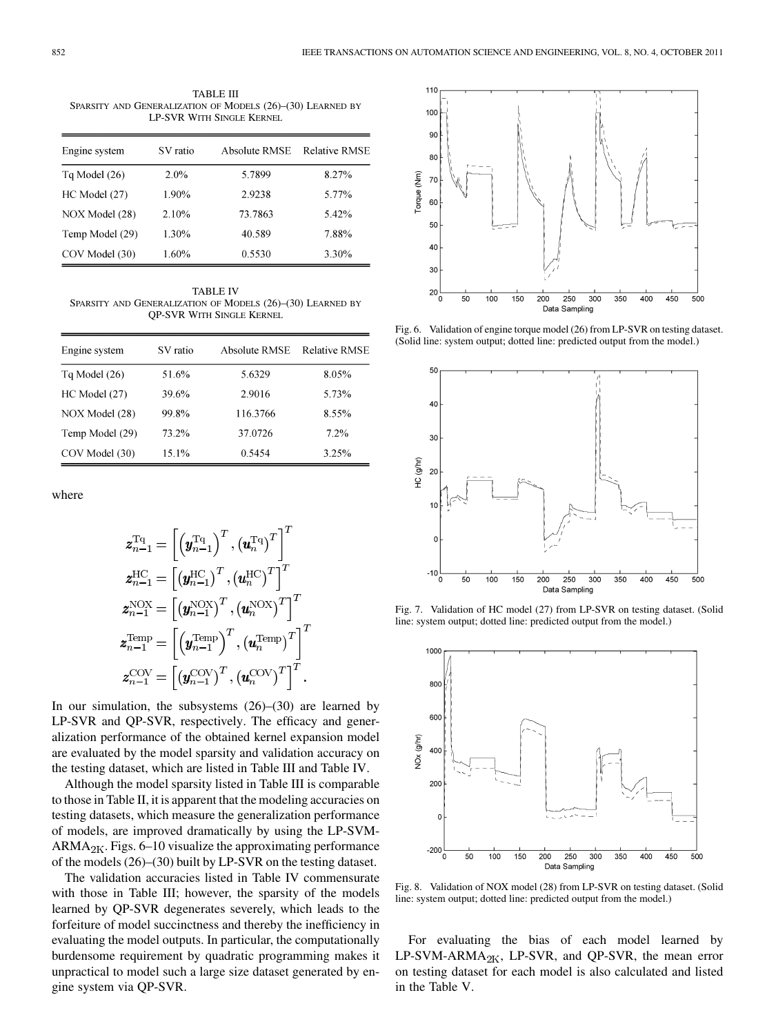TABLE III SPARSITY AND GENERALIZATION OF MODELS (26)–(30) LEARNED BY LP-SVR WITH SINGLE KERNEL

| Engine system   | SV ratio | Absolute RMSE | <b>Relative RMSE</b> |
|-----------------|----------|---------------|----------------------|
| Tq Model $(26)$ | $2.0\%$  | 5.7899        | 8.27%                |
| HC Model (27)   | 1.90%    | 2.9238        | 5.77%                |
| NOX Model (28)  | 2.10%    | 73.7863       | 5.42%                |
| Temp Model (29) | 1.30%    | 40.589        | 7.88%                |
| COV Model (30)  | 1.60%    | 0.5530        | 3.30%                |

TABLE IV SPARSITY AND GENERALIZATION OF MODELS (26)–(30) LEARNED BY QP-SVR WITH SINGLE KERNEL

| Engine system     | SV ratio | Absolute RMSE | <b>Relative RMSE</b> |
|-------------------|----------|---------------|----------------------|
| Tq Model $(26)$   | 51.6%    | 5.6329        | 8.05%                |
| $HC$ Model $(27)$ | 39.6%    | 2.9016        | 5.73%                |
| NOX Model (28)    | 99.8%    | 116.3766      | 8.55%                |
| Temp Model (29)   | 73.2%    | 37.0726       | 7.2%                 |
| COV Model (30)    | 15.1%    | 0.5454        | 3.25%                |

where

$$
\mathbf{z}_{n-1}^{\mathrm{Tq}} = \left[ \left( \mathbf{y}_{n-1}^{\mathrm{Tq}} \right)^T, \left( \mathbf{u}_n^{\mathrm{Tq}} \right)^T \right]^T
$$
\n
$$
\mathbf{z}_{n-1}^{\mathrm{HC}} = \left[ \left( \mathbf{y}_{n-1}^{\mathrm{HC}} \right)^T, \left( \mathbf{u}_n^{\mathrm{HC}} \right)^T \right]^T
$$
\n
$$
\mathbf{z}_{n-1}^{\mathrm{NOX}} = \left[ \left( \mathbf{y}_{n-1}^{\mathrm{NOX}} \right)^T, \left( \mathbf{u}_n^{\mathrm{NOX}} \right)^T \right]^T
$$
\n
$$
\mathbf{z}_{n-1}^{\mathrm{Temp}} = \left[ \left( \mathbf{y}_{n-1}^{\mathrm{Temp}} \right)^T, \left( \mathbf{u}_n^{\mathrm{Temp}} \right)^T \right]^T
$$
\n
$$
\mathbf{z}_{n-1}^{\mathrm{COV}} = \left[ \left( \mathbf{y}_{n-1}^{\mathrm{COV}} \right)^T, \left( \mathbf{u}_n^{\mathrm{COV}} \right)^T \right]^T.
$$

In our simulation, the subsystems  $(26)$ – $(30)$  are learned by LP-SVR and QP-SVR, respectively. The efficacy and generalization performance of the obtained kernel expansion model are evaluated by the model sparsity and validation accuracy on the testing dataset, which are listed in Table III and Table IV.

Although the model sparsity listed in Table III is comparable to those in Table II, it is apparent that the modeling accuracies on testing datasets, which measure the generalization performance of models, are improved dramatically by using the LP-SVM- $ARMA_{2K}$ . Figs. 6–10 visualize the approximating performance of the models (26)–(30) built by LP-SVR on the testing dataset.

The validation accuracies listed in Table IV commensurate with those in Table III; however, the sparsity of the models learned by QP-SVR degenerates severely, which leads to the forfeiture of model succinctness and thereby the inefficiency in evaluating the model outputs. In particular, the computationally burdensome requirement by quadratic programming makes it unpractical to model such a large size dataset generated by engine system via QP-SVR.



Fig. 6. Validation of engine torque model (26) from LP-SVR on testing dataset. (Solid line: system output; dotted line: predicted output from the model.)



Fig. 7. Validation of HC model (27) from LP-SVR on testing dataset. (Solid line: system output; dotted line: predicted output from the model.)



Fig. 8. Validation of NOX model (28) from LP-SVR on testing dataset. (Solid line: system output; dotted line: predicted output from the model.)

For evaluating the bias of each model learned by LP-SVM-ARM $A_{2K}$ , LP-SVR, and QP-SVR, the mean error on testing dataset for each model is also calculated and listed in the Table V.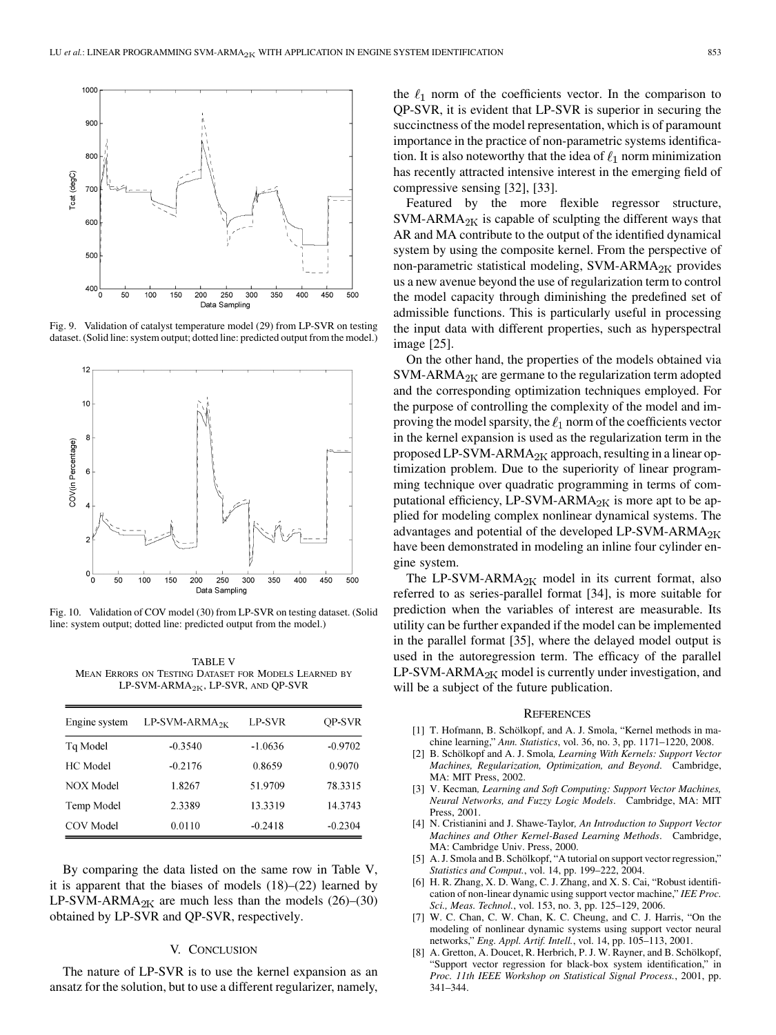

Fig. 9. Validation of catalyst temperature model (29) from LP-SVR on testing dataset. (Solid line: system output; dotted line: predicted output from the model.)



Fig. 10. Validation of COV model (30) from LP-SVR on testing dataset. (Solid line: system output; dotted line: predicted output from the model.)

TABLE V MEAN ERRORS ON TESTING DATASET FOR MODELS LEARNED BY LP-SVM-ARMA<sub>2K</sub>, LP-SVR, AND QP-SVR

| Engine system | LP-SVM-ARMA <sub>2K</sub> | <b>LP-SVR</b> | QP-SVR    |
|---------------|---------------------------|---------------|-----------|
| Tq Model      | $-0.3540$                 | $-1.0636$     | $-0.9702$ |
| HC Model      | $-0.2176$                 | 0.8659        | 0.9070    |
| NOX Model     | 1.8267                    | 51.9709       | 78.3315   |
| Temp Model    | 2.3389                    | 13.3319       | 14.3743   |
| COV Model     | 0.0110                    | $-0.2418$     | $-0.2304$ |

By comparing the data listed on the same row in Table V, it is apparent that the biases of models (18)–(22) learned by LP-SVM-ARMA $_{2K}$  are much less than the models (26)–(30) obtained by LP-SVR and QP-SVR, respectively.

## V. CONCLUSION

The nature of LP-SVR is to use the kernel expansion as an ansatz for the solution, but to use a different regularizer, namely, the  $\ell_1$  norm of the coefficients vector. In the comparison to QP-SVR, it is evident that LP-SVR is superior in securing the succinctness of the model representation, which is of paramount importance in the practice of non-parametric systems identification. It is also noteworthy that the idea of  $\ell_1$  norm minimization has recently attracted intensive interest in the emerging field of compressive sensing [32], [33].

Featured by the more flexible regressor structure,  $SVM-ARMA<sub>2K</sub>$  is capable of sculpting the different ways that AR and MA contribute to the output of the identified dynamical system by using the composite kernel. From the perspective of non-parametric statistical modeling, SVM-ARM $A_{2K}$  provides us a new avenue beyond the use of regularization term to control the model capacity through diminishing the predefined set of admissible functions. This is particularly useful in processing the input data with different properties, such as hyperspectral image [25].

On the other hand, the properties of the models obtained via  $SVM-ARMA<sub>2K</sub>$  are germane to the regularization term adopted and the corresponding optimization techniques employed. For the purpose of controlling the complexity of the model and improving the model sparsity, the  $\ell_1$  norm of the coefficients vector in the kernel expansion is used as the regularization term in the proposed LP-SVM-ARMA $_{2K}$  approach, resulting in a linear optimization problem. Due to the superiority of linear programming technique over quadratic programming in terms of computational efficiency, LP-SVM-ARMA $_{2K}$  is more apt to be applied for modeling complex nonlinear dynamical systems. The advantages and potential of the developed LP-SVM-ARMA have been demonstrated in modeling an inline four cylinder engine system.

The LP-SVM-ARMA $_{2K}$  model in its current format, also referred to as series-parallel format [34], is more suitable for prediction when the variables of interest are measurable. Its utility can be further expanded if the model can be implemented in the parallel format [35], where the delayed model output is used in the autoregression term. The efficacy of the parallel  $LP-SVM-ARMA<sub>2K</sub>$  model is currently under investigation, and will be a subject of the future publication.

#### **REFERENCES**

- [1] T. Hofmann, B. Schölkopf, and A. J. Smola, "Kernel methods in machine learning," *Ann. Statistics*, vol. 36, no. 3, pp. 1171–1220, 2008.
- [2] B. Schölkopf and A. J. Smola*, Learning With Kernels: Support Vector Machines, Regularization, Optimization, and Beyond*. Cambridge, MA: MIT Press, 2002.
- [3] V. Kecman*, Learning and Soft Computing: Support Vector Machines, Neural Networks, and Fuzzy Logic Models*. Cambridge, MA: MIT Press, 2001.
- [4] N. Cristianini and J. Shawe-Taylor*, An Introduction to Support Vector Machines and Other Kernel-Based Learning Methods*. Cambridge, MA: Cambridge Univ. Press, 2000.
- [5] A. J. Smola and B. Schölkopf, "A tutorial on support vector regression," *Statistics and Comput.*, vol. 14, pp. 199–222, 2004.
- [6] H. R. Zhang, X. D. Wang, C. J. Zhang, and X. S. Cai, "Robust identification of non-linear dynamic using support vector machine," *IEE Proc. Sci., Meas. Technol.*, vol. 153, no. 3, pp. 125–129, 2006.
- [7] W. C. Chan, C. W. Chan, K. C. Cheung, and C. J. Harris, "On the modeling of nonlinear dynamic systems using support vector neural networks," *Eng. Appl. Artif. Intell.*, vol. 14, pp. 105–113, 2001.
- [8] A. Gretton, A. Doucet, R. Herbrich, P. J. W. Rayner, and B. Schölkopf, "Support vector regression for black-box system identification," in *Proc. 11th IEEE Workshop on Statistical Signal Process.*, 2001, pp. 341–344.